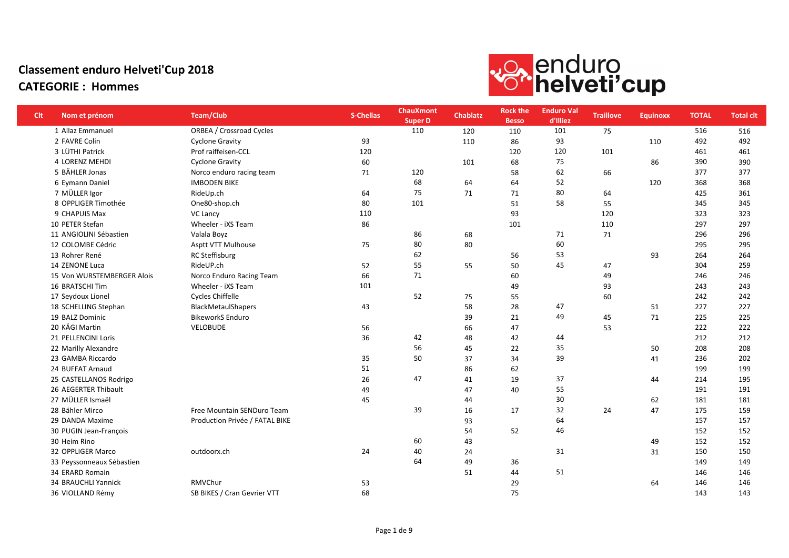

| <b>Clt</b> | Nom et prénom              | <b>Team/Club</b>                | <b>S-Chellas</b> | <b>ChauXmont</b><br><b>Super D</b> | <b>Chablatz</b> | <b>Rock the</b><br><b>Besso</b> | <b>Enduro Val</b><br>d'Illiez | <b>Traillove</b> | <b>Equinoxx</b> | <b>TOTAL</b> | <b>Total clt</b> |
|------------|----------------------------|---------------------------------|------------------|------------------------------------|-----------------|---------------------------------|-------------------------------|------------------|-----------------|--------------|------------------|
|            | 1 Allaz Emmanuel           | <b>ORBEA / Crossroad Cycles</b> |                  | 110                                | 120             | 110                             | 101                           | 75               |                 | 516          | 516              |
|            | 2 FAVRE Colin              | <b>Cyclone Gravity</b>          | 93               |                                    | 110             | 86                              | 93                            |                  | 110             | 492          | 492              |
|            | 3 LÜTHI Patrick            | Prof raiffeisen-CCL             | 120              |                                    |                 | 120                             | 120                           | 101              |                 | 461          | 461              |
|            | 4 LORENZ MEHDI             | <b>Cyclone Gravity</b>          | 60               |                                    | 101             | 68                              | 75                            |                  | 86              | 390          | 390              |
|            | 5 BÄHLER Jonas             | Norco enduro racing team        | 71               | 120                                |                 | 58                              | 62                            | 66               |                 | 377          | 377              |
|            | 6 Eymann Daniel            | <b>IMBODEN BIKE</b>             |                  | 68                                 | 64              | 64                              | 52                            |                  | 120             | 368          | 368              |
|            | 7 MÜLLER Igor              | RideUp.ch                       | 64               | 75                                 | 71              | 71                              | 80                            | 64               |                 | 425          | 361              |
|            | 8 OPPLIGER Timothée        | One80-shop.ch                   | 80               | 101                                |                 | 51                              | 58                            | 55               |                 | 345          | 345              |
|            | 9 CHAPUIS Max              | <b>VC Lancy</b>                 | 110              |                                    |                 | 93                              |                               | 120              |                 | 323          | 323              |
|            | 10 PETER Stefan            | Wheeler - iXS Team              | 86               |                                    |                 | 101                             |                               | 110              |                 | 297          | 297              |
|            | 11 ANGIOLINI Sébastien     | Valala Boyz                     |                  | 86                                 | 68              |                                 | 71                            | 71               |                 | 296          | 296              |
|            | 12 COLOMBE Cédric          | Asptt VTT Mulhouse              | 75               | 80                                 | 80              |                                 | 60                            |                  |                 | 295          | 295              |
|            | 13 Rohrer René             | <b>RC Steffisburg</b>           |                  | 62                                 |                 | 56                              | 53                            |                  | 93              | 264          | 264              |
|            | 14 ZENONE Luca             | RideUP.ch                       | 52               | 55                                 | 55              | 50                              | 45                            | 47               |                 | 304          | 259              |
|            | 15 Von WURSTEMBERGER Alois | Norco Enduro Racing Team        | 66               | 71                                 |                 | 60                              |                               | 49               |                 | 246          | 246              |
|            | 16 BRATSCHI Tim            | Wheeler - iXS Team              | 101              |                                    |                 | 49                              |                               | 93               |                 | 243          | 243              |
|            | 17 Seydoux Lionel          | <b>Cycles Chiffelle</b>         |                  | 52                                 | 75              | 55                              |                               | 60               |                 | 242          | 242              |
|            | 18 SCHELLING Stephan       | <b>BlackMetaulShapers</b>       | 43               |                                    | 58              | 28                              | 47                            |                  | 51              | 227          | 227              |
|            | 19 BALZ Dominic            | <b>BikeworkS Enduro</b>         |                  |                                    | 39              | 21                              | 49                            | 45               | 71              | 225          | 225              |
|            | 20 KÄGI Martin             | VELOBUDE                        | 56               |                                    | 66              | 47                              |                               | 53               |                 | 222          | 222              |
|            | 21 PELLENCINI Loris        |                                 | 36               | 42                                 | 48              | 42                              | 44                            |                  |                 | 212          | 212              |
|            | 22 Marilly Alexandre       |                                 |                  | 56                                 | 45              | 22                              | 35                            |                  | 50              | 208          | 208              |
|            | 23 GAMBA Riccardo          |                                 | 35               | 50                                 | 37              | 34                              | 39                            |                  | 41              | 236          | 202              |
|            | 24 BUFFAT Arnaud           |                                 | 51               |                                    | 86              | 62                              |                               |                  |                 | 199          | 199              |
|            | 25 CASTELLANOS Rodrigo     |                                 | 26               | 47                                 | 41              | 19                              | 37                            |                  | 44              | 214          | 195              |
|            | 26 AEGERTER Thibault       |                                 | 49               |                                    | 47              | 40                              | 55                            |                  |                 | 191          | 191              |
|            | 27 MÜLLER Ismaël           |                                 | 45               |                                    | 44              |                                 | 30                            |                  | 62              | 181          | 181              |
|            | 28 Bähler Mirco            | Free Mountain SENDuro Team      |                  | 39                                 | 16              | 17                              | 32                            | 24               | 47              | 175          | 159              |
|            | 29 DANDA Maxime            | Production Privée / FATAL BIKE  |                  |                                    | 93              |                                 | 64                            |                  |                 | 157          | 157              |
|            | 30 PUGIN Jean-François     |                                 |                  |                                    | 54              | 52                              | 46                            |                  |                 | 152          | 152              |
|            | 30 Heim Rino               |                                 |                  | 60                                 | 43              |                                 |                               |                  | 49              | 152          | 152              |
|            | 32 OPPLIGER Marco          | outdoorx.ch                     | 24               | 40                                 | 24              |                                 | 31                            |                  | 31              | 150          | 150              |
|            | 33 Peyssonneaux Sébastien  |                                 |                  | 64                                 | 49              | 36                              |                               |                  |                 | 149          | 149              |
|            | 34 ERARD Romain            |                                 |                  |                                    | 51              | 44                              | 51                            |                  |                 | 146          | 146              |
|            | 34 BRAUCHLI Yannick        | RMVChur                         | 53               |                                    |                 | 29                              |                               |                  | 64              | 146          | 146              |
|            | 36 VIOLLAND Rémy           | SB BIKES / Cran Gevrier VTT     | 68               |                                    |                 | 75                              |                               |                  |                 | 143          | 143              |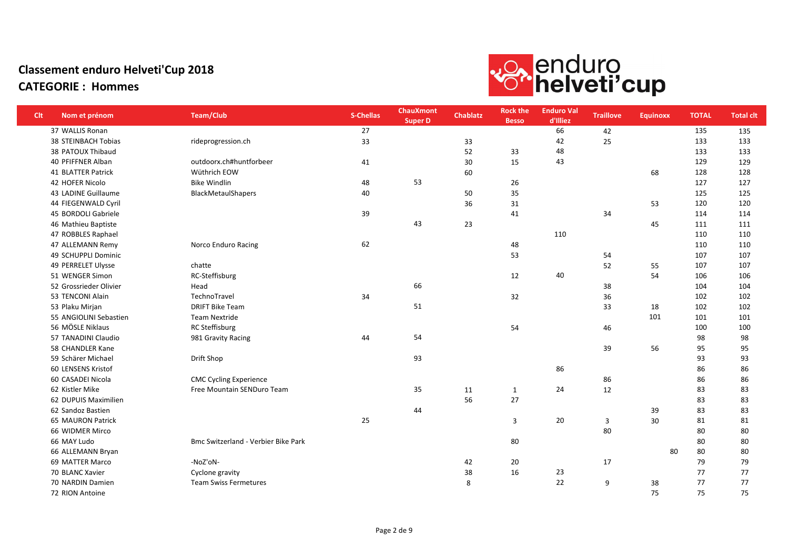

| <b>Clt</b> | Nom et prénom          | Team/Club                           | <b>S-Chellas</b> | <b>ChauXmont</b><br><b>Super D</b> | <b>Chablatz</b> | <b>Rock the</b><br><b>Besso</b> | <b>Enduro Val</b><br>d'Illiez | <b>Traillove</b> | <b>Equinoxx</b> | <b>TOTAL</b> | <b>Total clt</b> |
|------------|------------------------|-------------------------------------|------------------|------------------------------------|-----------------|---------------------------------|-------------------------------|------------------|-----------------|--------------|------------------|
|            | 37 WALLIS Ronan        |                                     | 27               |                                    |                 |                                 | 66                            | 42               |                 | 135          | 135              |
|            | 38 STEINBACH Tobias    | rideprogression.ch                  | 33               |                                    | 33              |                                 | 42                            | 25               |                 | 133          | 133              |
|            | 38 PATOUX Thibaud      |                                     |                  |                                    | 52              | 33                              | 48                            |                  |                 | 133          | 133              |
|            | 40 PFIFFNER Alban      | outdoorx.ch#huntforbeer             | 41               |                                    | 30              | 15                              | 43                            |                  |                 | 129          | 129              |
|            | 41 BLATTER Patrick     | Wüthrich EOW                        |                  |                                    | 60              |                                 |                               |                  | 68              | 128          | 128              |
|            | 42 HOFER Nicolo        | <b>Bike Windlin</b>                 | 48               | 53                                 |                 | 26                              |                               |                  |                 | 127          | 127              |
|            | 43 LADINE Guillaume    | <b>BlackMetaulShapers</b>           | 40               |                                    | 50              | 35                              |                               |                  |                 | 125          | 125              |
|            | 44 FIEGENWALD Cyril    |                                     |                  |                                    | 36              | 31                              |                               |                  | 53              | 120          | 120              |
|            | 45 BORDOLI Gabriele    |                                     | 39               |                                    |                 | 41                              |                               | 34               |                 | 114          | 114              |
|            | 46 Mathieu Baptiste    |                                     |                  | 43                                 | 23              |                                 |                               |                  | 45              | 111          | 111              |
|            | 47 ROBBLES Raphael     |                                     |                  |                                    |                 |                                 | 110                           |                  |                 | 110          | 110              |
|            | 47 ALLEMANN Remy       | Norco Enduro Racing                 | 62               |                                    |                 | 48                              |                               |                  |                 | 110          | 110              |
|            | 49 SCHUPPLI Dominic    |                                     |                  |                                    |                 | 53                              |                               | 54               |                 | 107          | 107              |
|            | 49 PERRELET Ulysse     | chatte                              |                  |                                    |                 |                                 |                               | 52               | 55              | 107          | 107              |
|            | 51 WENGER Simon        | RC-Steffisburg                      |                  |                                    |                 | 12                              | 40                            |                  | 54              | 106          | 106              |
|            | 52 Grossrieder Olivier | Head                                |                  | 66                                 |                 |                                 |                               | 38               |                 | 104          | 104              |
|            | 53 TENCONI Alain       | TechnoTravel                        | 34               |                                    |                 | 32                              |                               | 36               |                 | 102          | 102              |
|            | 53 Plaku Mirjan        | <b>DRIFT Bike Team</b>              |                  | 51                                 |                 |                                 |                               | 33               | 18              | 102          | 102              |
|            | 55 ANGIOLINI Sebastien | <b>Team Nextride</b>                |                  |                                    |                 |                                 |                               |                  | 101             | 101          | 101              |
|            | 56 MÖSLE Niklaus       | <b>RC Steffisburg</b>               |                  |                                    |                 | 54                              |                               | 46               |                 | 100          | 100              |
|            | 57 TANADINI Claudio    | 981 Gravity Racing                  | 44               | 54                                 |                 |                                 |                               |                  |                 | 98           | 98               |
|            | 58 CHANDLER Kane       |                                     |                  |                                    |                 |                                 |                               | 39               | 56              | 95           | 95               |
|            | 59 Schärer Michael     | Drift Shop                          |                  | 93                                 |                 |                                 |                               |                  |                 | 93           | 93               |
|            | 60 LENSENS Kristof     |                                     |                  |                                    |                 |                                 | 86                            |                  |                 | 86           | 86               |
|            | 60 CASADEI Nicola      | <b>CMC Cycling Experience</b>       |                  |                                    |                 |                                 |                               | 86               |                 | 86           | 86               |
|            | 62 Kistler Mike        | Free Mountain SENDuro Team          |                  | 35                                 | 11              | $\mathbf{1}$                    | 24                            | 12               |                 | 83           | 83               |
|            | 62 DUPUIS Maximilien   |                                     |                  |                                    | 56              | 27                              |                               |                  |                 | 83           | 83               |
|            | 62 Sandoz Bastien      |                                     |                  | 44                                 |                 |                                 |                               |                  | 39              | 83           | 83               |
|            | 65 MAURON Patrick      |                                     | 25               |                                    |                 | 3                               | 20                            | 3                | 30              | 81           | 81               |
|            | 66 WIDMER Mirco        |                                     |                  |                                    |                 |                                 |                               | 80               |                 | 80           | 80               |
|            | 66 MAY Ludo            | Bmc Switzerland - Verbier Bike Park |                  |                                    |                 | 80                              |                               |                  |                 | 80           | 80               |
|            | 66 ALLEMANN Bryan      |                                     |                  |                                    |                 |                                 |                               |                  | 80              | 80           | 80               |
|            | 69 MATTER Marco        | -NoZ'oN-                            |                  |                                    | 42              | 20                              |                               | 17               |                 | 79           | 79               |
|            | 70 BLANC Xavier        | Cyclone gravity                     |                  |                                    | 38              | 16                              | 23                            |                  |                 | 77           | 77               |
|            | 70 NARDIN Damien       | <b>Team Swiss Fermetures</b>        |                  |                                    | 8               |                                 | 22                            | 9                | 38              | 77           | 77               |
|            | 72 RION Antoine        |                                     |                  |                                    |                 |                                 |                               |                  | 75              | 75           | 75               |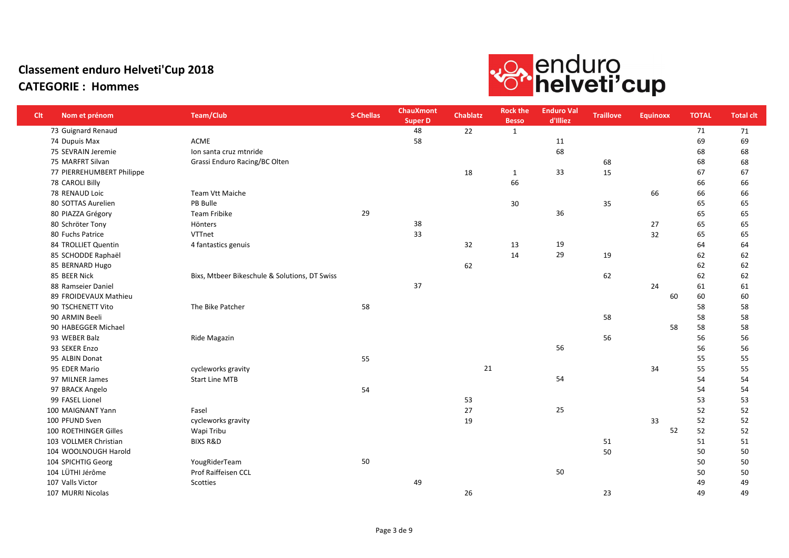

| <b>Clt</b> | Nom et prénom             | <b>Team/Club</b>                              | S-Chellas | <b>ChauXmont</b><br><b>Super D</b> | <b>Chablatz</b> | <b>Rock the</b><br><b>Besso</b> | <b>Enduro Val</b><br>d'Illiez | <b>Traillove</b> | <b>Equinoxx</b> | <b>TOTAL</b> | <b>Total clt</b> |
|------------|---------------------------|-----------------------------------------------|-----------|------------------------------------|-----------------|---------------------------------|-------------------------------|------------------|-----------------|--------------|------------------|
|            | 73 Guignard Renaud        |                                               |           | 48                                 | 22              | 1                               |                               |                  |                 | 71           | 71               |
|            | 74 Dupuis Max             | <b>ACME</b>                                   |           | 58                                 |                 |                                 | 11                            |                  |                 | 69           | 69               |
|            | 75 SEVRAIN Jeremie        | Ion santa cruz mtnride                        |           |                                    |                 |                                 | 68                            |                  |                 | 68           | 68               |
|            | 75 MARFRT Silvan          | Grassi Enduro Racing/BC Olten                 |           |                                    |                 |                                 |                               | 68               |                 | 68           | 68               |
|            | 77 PIERREHUMBERT Philippe |                                               |           |                                    | 18              | $\mathbf{1}$                    | 33                            | 15               |                 | 67           | 67               |
|            | 78 CAROLI Billy           |                                               |           |                                    |                 | 66                              |                               |                  |                 | 66           | 66               |
|            | 78 RENAUD Loic            | Team Vtt Maiche                               |           |                                    |                 |                                 |                               |                  | 66              | 66           | 66               |
|            | 80 SOTTAS Aurelien        | PB Bulle                                      |           |                                    |                 | 30                              |                               | 35               |                 | 65           | 65               |
|            | 80 PIAZZA Grégory         | Team Fribike                                  | 29        |                                    |                 |                                 | 36                            |                  |                 | 65           | 65               |
|            | 80 Schröter Tony          | Hönters                                       |           | 38                                 |                 |                                 |                               |                  | 27              | 65           | 65               |
|            | 80 Fuchs Patrice          | VTTnet                                        |           | 33                                 |                 |                                 |                               |                  | 32              | 65           | 65               |
|            | 84 TROLLIET Quentin       | 4 fantastics genuis                           |           |                                    | 32              | 13                              | 19                            |                  |                 | 64           | 64               |
|            | 85 SCHODDE Raphaël        |                                               |           |                                    |                 | 14                              | 29                            | 19               |                 | 62           | 62               |
|            | 85 BERNARD Hugo           |                                               |           |                                    | 62              |                                 |                               |                  |                 | 62           | 62               |
|            | 85 BEER Nick              | Bixs, Mtbeer Bikeschule & Solutions, DT Swiss |           |                                    |                 |                                 |                               | 62               |                 | 62           | 62               |
|            | 88 Ramseier Daniel        |                                               |           | 37                                 |                 |                                 |                               |                  | 24              | 61           | 61               |
|            | 89 FROIDEVAUX Mathieu     |                                               |           |                                    |                 |                                 |                               |                  | 60              | 60           | 60               |
|            | 90 TSCHENETT Vito         | The Bike Patcher                              | 58        |                                    |                 |                                 |                               |                  |                 | 58           | 58               |
|            | 90 ARMIN Beeli            |                                               |           |                                    |                 |                                 |                               | 58               |                 | 58           | 58               |
|            | 90 HABEGGER Michael       |                                               |           |                                    |                 |                                 |                               |                  | 58              | 58           | 58               |
|            | 93 WEBER Balz             | Ride Magazin                                  |           |                                    |                 |                                 |                               | 56               |                 | 56           | 56               |
|            | 93 SEKER Enzo             |                                               |           |                                    |                 |                                 | 56                            |                  |                 | 56           | 56               |
|            | 95 ALBIN Donat            |                                               | 55        |                                    |                 |                                 |                               |                  |                 | 55           | 55               |
|            | 95 EDER Mario             | cycleworks gravity                            |           |                                    | 21              |                                 |                               |                  | 34              | 55           | 55               |
|            | 97 MILNER James           | <b>Start Line MTB</b>                         |           |                                    |                 |                                 | 54                            |                  |                 | 54           | 54               |
|            | 97 BRACK Angelo           |                                               | 54        |                                    |                 |                                 |                               |                  |                 | 54           | 54               |
|            | 99 FASEL Lionel           |                                               |           |                                    | 53              |                                 |                               |                  |                 | 53           | 53               |
|            | 100 MAIGNANT Yann         | Fasel                                         |           |                                    | 27              |                                 | 25                            |                  |                 | 52           | 52               |
|            | 100 PFUND Sven            | cycleworks gravity                            |           |                                    | 19              |                                 |                               |                  | 33              | 52           | 52               |
|            | 100 ROETHINGER Gilles     | Wapi Tribu                                    |           |                                    |                 |                                 |                               |                  | 52              | 52           | 52               |
|            | 103 VOLLMER Christian     | <b>BIXS R&amp;D</b>                           |           |                                    |                 |                                 |                               | 51               |                 | 51           | 51               |
|            | 104 WOOLNOUGH Harold      |                                               |           |                                    |                 |                                 |                               | 50               |                 | 50           | 50               |
|            | 104 SPICHTIG Georg        | YougRiderTeam                                 | 50        |                                    |                 |                                 |                               |                  |                 | 50           | 50               |
|            | 104 LÜTHI Jérôme          | Prof Raiffeisen CCL                           |           |                                    |                 |                                 | 50                            |                  |                 | 50           | 50               |
|            | 107 Valls Victor          | Scotties                                      |           | 49                                 |                 |                                 |                               |                  |                 | 49           | 49               |
|            | 107 MURRI Nicolas         |                                               |           |                                    | 26              |                                 |                               | 23               |                 | 49           | 49               |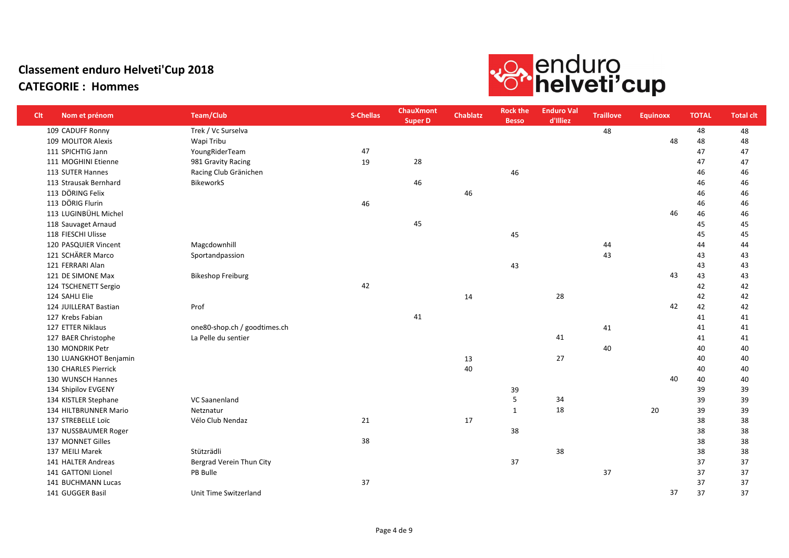

| <b>Clt</b> | Nom et prénom          | <b>Team/Club</b>             | <b>S-Chellas</b> | <b>ChauXmont</b><br><b>Super D</b> | <b>Chablatz</b> | <b>Rock the</b><br><b>Besso</b> | <b>Enduro Val</b><br>d'Illiez | <b>Traillove</b> | <b>Equinoxx</b> | <b>TOTAL</b> | <b>Total clt</b> |
|------------|------------------------|------------------------------|------------------|------------------------------------|-----------------|---------------------------------|-------------------------------|------------------|-----------------|--------------|------------------|
|            | 109 CADUFF Ronny       | Trek / Vc Surselva           |                  |                                    |                 |                                 |                               | 48               |                 | 48           | 48               |
|            | 109 MOLITOR Alexis     | Wapi Tribu                   |                  |                                    |                 |                                 |                               |                  | 48              | 48           | 48               |
|            | 111 SPICHTIG Jann      | YoungRiderTeam               | 47               |                                    |                 |                                 |                               |                  |                 | 47           | 47               |
|            | 111 MOGHINI Etienne    | 981 Gravity Racing           | 19               | 28                                 |                 |                                 |                               |                  |                 | 47           | 47               |
|            | 113 SUTER Hannes       | Racing Club Gränichen        |                  |                                    |                 | 46                              |                               |                  |                 | 46           | 46               |
|            | 113 Strausak Bernhard  | <b>BikeworkS</b>             |                  | 46                                 |                 |                                 |                               |                  |                 | 46           | 46               |
|            | 113 DÖRING Felix       |                              |                  |                                    | 46              |                                 |                               |                  |                 | 46           | 46               |
|            | 113 DÖRIG Flurin       |                              | 46               |                                    |                 |                                 |                               |                  |                 | 46           | 46               |
|            | 113 LUGINBÜHL Michel   |                              |                  |                                    |                 |                                 |                               |                  | 46              | 46           | 46               |
|            | 118 Sauvaget Arnaud    |                              |                  | 45                                 |                 |                                 |                               |                  |                 | 45           | 45               |
|            | 118 FIESCHI Ulisse     |                              |                  |                                    |                 | 45                              |                               |                  |                 | 45           | 45               |
|            | 120 PASQUIER Vincent   | Magcdownhill                 |                  |                                    |                 |                                 |                               | 44               |                 | 44           | 44               |
|            | 121 SCHÄRER Marco      | Sportandpassion              |                  |                                    |                 |                                 |                               | 43               |                 | 43           | 43               |
|            | 121 FERRARI Alan       |                              |                  |                                    |                 | 43                              |                               |                  |                 | 43           | 43               |
|            | 121 DE SIMONE Max      | <b>Bikeshop Freiburg</b>     |                  |                                    |                 |                                 |                               |                  | 43              | 43           | 43               |
|            | 124 TSCHENETT Sergio   |                              | 42               |                                    |                 |                                 |                               |                  |                 | 42           | 42               |
|            | 124 SAHLI Elie         |                              |                  |                                    | 14              |                                 | 28                            |                  |                 | 42           | 42               |
|            | 124 JUILLERAT Bastian  | Prof                         |                  |                                    |                 |                                 |                               |                  | 42              | 42           | 42               |
|            | 127 Krebs Fabian       |                              |                  | 41                                 |                 |                                 |                               |                  |                 | 41           | 41               |
|            | 127 ETTER Niklaus      | one80-shop.ch / goodtimes.ch |                  |                                    |                 |                                 |                               | 41               |                 | 41           | 41               |
|            | 127 BAER Christophe    | La Pelle du sentier          |                  |                                    |                 |                                 | 41                            |                  |                 | 41           | 41               |
|            | 130 MONDRIK Petr       |                              |                  |                                    |                 |                                 |                               | 40               |                 | 40           | 40               |
|            | 130 LUANGKHOT Benjamin |                              |                  |                                    | 13              |                                 | 27                            |                  |                 | 40           | 40               |
|            | 130 CHARLES Pierrick   |                              |                  |                                    | 40              |                                 |                               |                  |                 | 40           | 40               |
|            | 130 WUNSCH Hannes      |                              |                  |                                    |                 |                                 |                               |                  | 40              | 40           | 40               |
|            | 134 Shipilov EVGENY    |                              |                  |                                    |                 | 39                              |                               |                  |                 | 39           | 39               |
|            | 134 KISTLER Stephane   | <b>VC Saanenland</b>         |                  |                                    |                 | 5                               | 34                            |                  |                 | 39           | 39               |
|            | 134 HILTBRUNNER Mario  | Netznatur                    |                  |                                    |                 | $\mathbf{1}$                    | 18                            |                  | 20              | 39           | 39               |
|            | 137 STREBELLE Loïc     | Vélo Club Nendaz             | 21               |                                    | 17              |                                 |                               |                  |                 | 38           | 38               |
|            | 137 NUSSBAUMER Roger   |                              |                  |                                    |                 | 38                              |                               |                  |                 | 38           | 38               |
|            | 137 MONNET Gilles      |                              | 38               |                                    |                 |                                 |                               |                  |                 | 38           | 38               |
|            | 137 MEILI Marek        | Stützrädli                   |                  |                                    |                 |                                 | 38                            |                  |                 | 38           | 38               |
|            | 141 HALTER Andreas     | Bergrad Verein Thun City     |                  |                                    |                 | 37                              |                               |                  |                 | 37           | 37               |
|            | 141 GATTONI Lionel     | PB Bulle                     |                  |                                    |                 |                                 |                               | 37               |                 | 37           | 37               |
|            | 141 BUCHMANN Lucas     |                              | 37               |                                    |                 |                                 |                               |                  |                 | 37           | 37               |
|            | 141 GUGGER Basil       | Unit Time Switzerland        |                  |                                    |                 |                                 |                               |                  | 37              | 37           | 37               |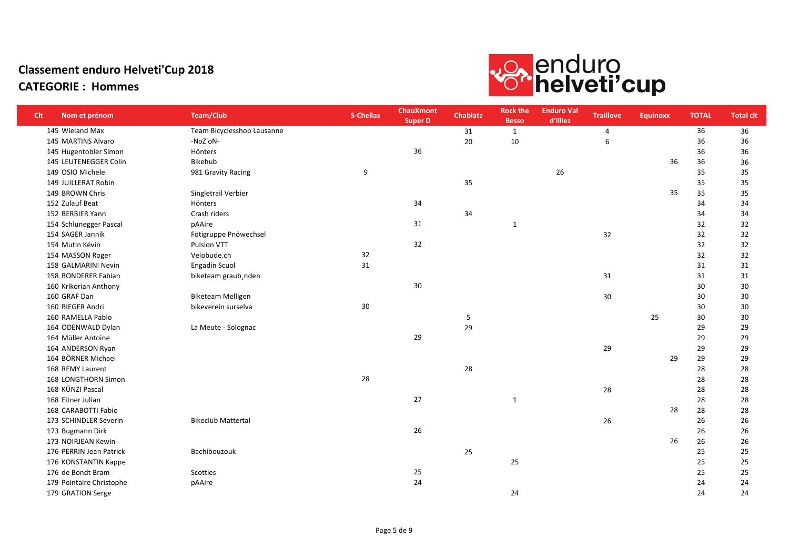

| <b>Clt</b> | Nom et prénom            | <b>Team/Club</b>           | S-Chellas | <b>ChauXmont</b><br><b>Super D</b> | <b>Chablatz</b> | <b>Rock the</b><br><b>Besso</b> | <b>Enduro Val</b><br>d'Illiez | <b>Traillove</b> | <b>Equinoxx</b> | <b>TOTAL</b> | <b>Total clt</b> |
|------------|--------------------------|----------------------------|-----------|------------------------------------|-----------------|---------------------------------|-------------------------------|------------------|-----------------|--------------|------------------|
|            | 145 Wieland Max          | Team Bicyclesshop Lausanne |           |                                    | 31              | $\mathbf{1}$                    |                               | $\overline{4}$   |                 | 36           | 36               |
|            | 145 MARTINS Alvaro       | -NoZ'oN-                   |           |                                    | 20              | 10                              |                               | 6                |                 | 36           | 36               |
|            | 145 Hugentobler Simon    | Hönters                    |           | 36                                 |                 |                                 |                               |                  |                 | 36           | 36               |
|            | 145 LEUTENEGGER Colin    | Bikehub                    |           |                                    |                 |                                 |                               |                  | 36              | 36           | 36               |
|            | 149 OSIO Michele         | 981 Gravity Racing         | 9         |                                    |                 |                                 | 26                            |                  |                 | 35           | 35               |
|            | 149 JUILLERAT Robin      |                            |           |                                    | 35              |                                 |                               |                  |                 | 35           | 35               |
|            | 149 BROWN Chris          | Singletrail Verbier        |           |                                    |                 |                                 |                               |                  | 35              | 35           | 35               |
|            | 152 Zulauf Beat          | Hönters                    |           | 34                                 |                 |                                 |                               |                  |                 | 34           | 34               |
|            | 152 BERBIER Yann         | Crash riders               |           |                                    | 34              |                                 |                               |                  |                 | 34           | 34               |
|            | 154 Schlunegger Pascal   | pAAire                     |           | 31                                 |                 | $\mathbf{1}$                    |                               |                  |                 | 32           | 32               |
|            | 154 SAGER Jannik         | Fötigruppe Pnöwechsel      |           |                                    |                 |                                 |                               | 32               |                 | 32           | 32               |
|            | 154 Mutin Kévin          | Pulsion VTT                |           | 32                                 |                 |                                 |                               |                  |                 | 32           | 32               |
|            | 154 MASSON Roger         | Velobude.ch                | 32        |                                    |                 |                                 |                               |                  |                 | 32           | 32               |
|            | 158 GALMARINI Nevin      | <b>Engadin Scuol</b>       | 31        |                                    |                 |                                 |                               |                  |                 | 31           | 31               |
|            | 158 BONDERER Fabian      | biketeam graub, nden       |           |                                    |                 |                                 |                               | 31               |                 | 31           | 31               |
|            | 160 Krikorian Anthony    |                            |           | 30                                 |                 |                                 |                               |                  |                 | 30           | 30               |
|            | 160 GRAF Dan             | <b>Biketeam Melligen</b>   |           |                                    |                 |                                 |                               | 30               |                 | 30           | 30               |
|            | 160 BIEGER Andri         | bikeverein surselva        | 30        |                                    |                 |                                 |                               |                  |                 | 30           | 30               |
|            | 160 RAMELLA Pablo        |                            |           |                                    | 5               |                                 |                               |                  | 25              | 30           | 30               |
|            | 164 ODENWALD Dylan       | La Meute - Solognac        |           |                                    | 29              |                                 |                               |                  |                 | 29           | 29               |
|            | 164 Müller Antoine       |                            |           | 29                                 |                 |                                 |                               |                  |                 | 29           | 29               |
|            | 164 ANDERSON Ryan        |                            |           |                                    |                 |                                 |                               | 29               |                 | 29           | 29               |
|            | 164 BÖRNER Michael       |                            |           |                                    |                 |                                 |                               |                  | 29              | 29           | 29               |
|            | 168 REMY Laurent         |                            |           |                                    | 28              |                                 |                               |                  |                 | 28           | 28               |
|            | 168 LONGTHORN Simon      |                            | 28        |                                    |                 |                                 |                               |                  |                 | 28           | 28               |
|            | 168 KÜNZI Pascal         |                            |           |                                    |                 |                                 |                               | 28               |                 | 28           | 28               |
|            | 168 Eitner Julian        |                            |           | 27                                 |                 | $\mathbf{1}$                    |                               |                  |                 | 28           | 28               |
|            | 168 CARABOTTI Fabio      |                            |           |                                    |                 |                                 |                               |                  | 28              | 28           | 28               |
|            | 173 SCHINDLER Severin    | <b>Bikeclub Mattertal</b>  |           |                                    |                 |                                 |                               | 26               |                 | 26           | 26               |
|            | 173 Bugmann Dirk         |                            |           | 26                                 |                 |                                 |                               |                  |                 | 26           | 26               |
|            | 173 NOIRJEAN Kewin       |                            |           |                                    |                 |                                 |                               |                  | 26              | 26           | 26               |
|            | 176 PERRIN Jean Patrick  | Bachibouzouk               |           |                                    | 25              |                                 |                               |                  |                 | 25           | 25               |
|            | 176 KONSTANTIN Kappe     |                            |           |                                    |                 | 25                              |                               |                  |                 | 25           | 25               |
|            | 176 de Bondt Bram        | Scotties                   |           | 25                                 |                 |                                 |                               |                  |                 | 25           | 25               |
|            | 179 Pointaire Christophe | pAAire                     |           | 24                                 |                 |                                 |                               |                  |                 | 24           | 24               |
|            | 179 GRATION Serge        |                            |           |                                    |                 | 24                              |                               |                  |                 | 24           | 24               |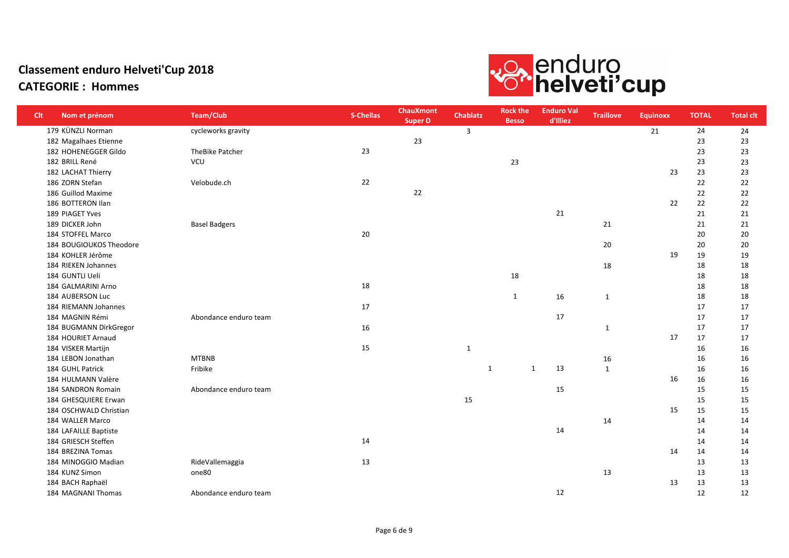

| <b>Clt</b> | Nom et prénom           | <b>Team/Club</b>      | S-Chellas | <b>ChauXmont</b><br><b>Super D</b> | Chablatz     | <b>Rock the</b><br><b>Besso</b> | <b>Enduro Val</b><br>d'Illiez | <b>Traillove</b> | <b>Equinoxx</b> | <b>TOTAL</b> | <b>Total clt</b> |
|------------|-------------------------|-----------------------|-----------|------------------------------------|--------------|---------------------------------|-------------------------------|------------------|-----------------|--------------|------------------|
|            | 179 KÜNZLI Norman       | cycleworks gravity    |           |                                    | 3            |                                 |                               |                  | 21              | 24           | 24               |
|            | 182 Magalhaes Etienne   |                       |           | 23                                 |              |                                 |                               |                  |                 | 23           | 23               |
|            | 182 HOHENEGGER Gildo    | TheBike Patcher       | 23        |                                    |              |                                 |                               |                  |                 | 23           | 23               |
|            | 182 BRILL René          | <b>VCU</b>            |           |                                    |              | 23                              |                               |                  |                 | 23           | 23               |
|            | 182 LACHAT Thierry      |                       |           |                                    |              |                                 |                               |                  | 23              | 23           | 23               |
|            | 186 ZORN Stefan         | Velobude.ch           | 22        |                                    |              |                                 |                               |                  |                 | 22           | 22               |
|            | 186 Guillod Maxime      |                       |           | 22                                 |              |                                 |                               |                  |                 | 22           | 22               |
|            | 186 BOTTERON Ilan       |                       |           |                                    |              |                                 |                               |                  | 22              | 22           | 22               |
|            | 189 PIAGET Yves         |                       |           |                                    |              |                                 | 21                            |                  |                 | 21           | 21               |
|            | 189 DICKER John         | <b>Basel Badgers</b>  |           |                                    |              |                                 |                               | 21               |                 | 21           | 21               |
|            | 184 STOFFEL Marco       |                       | 20        |                                    |              |                                 |                               |                  |                 | 20           | 20               |
|            | 184 BOUGIOUKOS Theodore |                       |           |                                    |              |                                 |                               | 20               |                 | 20           | 20               |
|            | 184 KOHLER Jérôme       |                       |           |                                    |              |                                 |                               |                  | 19              | 19           | 19               |
|            | 184 RIEKEN Johannes     |                       |           |                                    |              |                                 |                               | 18               |                 | 18           | 18               |
|            | 184 GUNTLI Ueli         |                       |           |                                    |              | 18                              |                               |                  |                 | 18           | 18               |
|            | 184 GALMARINI Arno      |                       | 18        |                                    |              |                                 |                               |                  |                 | 18           | 18               |
|            | 184 AUBERSON Luc        |                       |           |                                    |              | $\mathbf{1}$                    | 16                            | $\mathbf{1}$     |                 | 18           | 18               |
|            | 184 RIEMANN Johannes    |                       | 17        |                                    |              |                                 |                               |                  |                 | 17           | 17               |
|            | 184 MAGNIN Rémi         | Abondance enduro team |           |                                    |              |                                 | 17                            |                  |                 | 17           | 17               |
|            | 184 BUGMANN DirkGregor  |                       | 16        |                                    |              |                                 |                               | $\mathbf{1}$     |                 | 17           | 17               |
|            | 184 HOURIET Arnaud      |                       |           |                                    |              |                                 |                               |                  | 17              | 17           | 17               |
|            | 184 VISKER Martijn      |                       | 15        |                                    | $\mathbf{1}$ |                                 |                               |                  |                 | 16           | 16               |
|            | 184 LEBON Jonathan      | <b>MTBNB</b>          |           |                                    |              |                                 |                               | 16               |                 | 16           | 16               |
|            | 184 GUHL Patrick        | Fribike               |           |                                    |              | $\mathbf{1}$<br>1               | 13                            | $\mathbf{1}$     |                 | 16           | 16               |
|            | 184 HULMANN Valère      |                       |           |                                    |              |                                 |                               |                  | 16              | 16           | 16               |
|            | 184 SANDRON Romain      | Abondance enduro team |           |                                    |              |                                 | 15                            |                  |                 | 15           | 15               |
|            | 184 GHESQUIERE Erwan    |                       |           |                                    | 15           |                                 |                               |                  |                 | 15           | 15               |
|            | 184 OSCHWALD Christian  |                       |           |                                    |              |                                 |                               |                  | 15              | 15           | 15               |
|            | 184 WALLER Marco        |                       |           |                                    |              |                                 |                               | 14               |                 | 14           | 14               |
|            | 184 LAFAILLE Baptiste   |                       |           |                                    |              |                                 | 14                            |                  |                 | 14           | 14               |
|            | 184 GRIESCH Steffen     |                       | 14        |                                    |              |                                 |                               |                  |                 | 14           | 14               |
|            | 184 BREZINA Tomas       |                       |           |                                    |              |                                 |                               |                  | 14              | 14           | 14               |
|            | 184 MINOGGIO Madian     | RideVallemaggia       | 13        |                                    |              |                                 |                               |                  |                 | 13           | 13               |
|            | 184 KUNZ Simon          | one80                 |           |                                    |              |                                 |                               | 13               |                 | 13           | 13               |
|            | 184 BACH Raphaël        |                       |           |                                    |              |                                 |                               |                  | 13              | 13           | 13               |
|            | 184 MAGNANI Thomas      | Abondance enduro team |           |                                    |              |                                 | 12                            |                  |                 | 12           | 12               |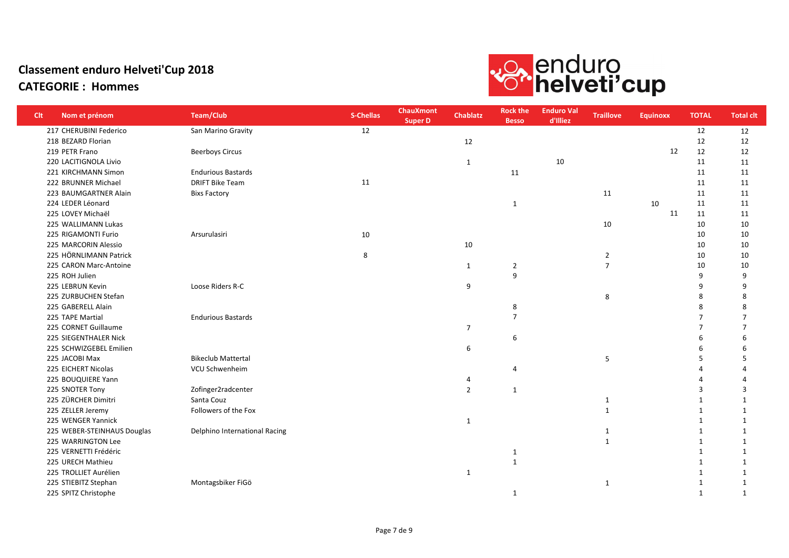

| <b>Clt</b> | Nom et prénom               | <b>Team/Club</b>              | S-Chellas | <b>ChauXmont</b><br><b>Super D</b> | <b>Chablatz</b> | <b>Rock the</b><br><b>Besso</b> | <b>Enduro Val</b><br>d'Illiez | <b>Traillove</b> | <b>Equinoxx</b> | <b>TOTAL</b> | <b>Total clt</b> |
|------------|-----------------------------|-------------------------------|-----------|------------------------------------|-----------------|---------------------------------|-------------------------------|------------------|-----------------|--------------|------------------|
|            | 217 CHERUBINI Federico      | San Marino Gravity            | 12        |                                    |                 |                                 |                               |                  |                 | 12           | 12               |
|            | 218 BEZARD Florian          |                               |           |                                    | 12              |                                 |                               |                  |                 | 12           | 12               |
|            | 219 PETR Frano              | <b>Beerboys Circus</b>        |           |                                    |                 |                                 |                               |                  | 12              | 12           | 12               |
|            | 220 LACITIGNOLA Livio       |                               |           |                                    | 1               |                                 | $10\,$                        |                  |                 | 11           | 11               |
|            | 221 KIRCHMANN Simon         | <b>Endurious Bastards</b>     |           |                                    |                 | 11                              |                               |                  |                 | 11           | 11               |
|            | 222 BRUNNER Michael         | <b>DRIFT Bike Team</b>        | 11        |                                    |                 |                                 |                               |                  |                 | 11           | 11               |
|            | 223 BAUMGARTNER Alain       | <b>Bixs Factory</b>           |           |                                    |                 |                                 |                               | 11               |                 | 11           | 11               |
|            | 224 LEDER Léonard           |                               |           |                                    |                 | $\mathbf{1}$                    |                               |                  | 10              | 11           | 11               |
|            | 225 LOVEY Michaël           |                               |           |                                    |                 |                                 |                               |                  | 11              | 11           | 11               |
|            | 225 WALLIMANN Lukas         |                               |           |                                    |                 |                                 |                               | 10               |                 | 10           | 10               |
|            | 225 RIGAMONTI Furio         | Arsurulasiri                  | 10        |                                    |                 |                                 |                               |                  |                 | 10           | 10               |
|            | 225 MARCORIN Alessio        |                               |           |                                    | 10              |                                 |                               |                  |                 | 10           | 10               |
|            | 225 HÖRNLIMANN Patrick      |                               | 8         |                                    |                 |                                 |                               | $\overline{2}$   |                 | 10           | 10               |
|            | 225 CARON Marc-Antoine      |                               |           |                                    | 1               | $\overline{2}$                  |                               | $\overline{7}$   |                 | 10           | 10               |
|            | 225 ROH Julien              |                               |           |                                    |                 | 9                               |                               |                  |                 | 9            | 9                |
|            | 225 LEBRUN Kevin            | Loose Riders R-C              |           |                                    | 9               |                                 |                               |                  |                 | q            | 9                |
|            | 225 ZURBUCHEN Stefan        |                               |           |                                    |                 |                                 |                               | 8                |                 | 8            | 8                |
|            | 225 GABERELL Alain          |                               |           |                                    |                 | 8                               |                               |                  |                 | 8            | 8                |
|            | 225 TAPE Martial            | <b>Endurious Bastards</b>     |           |                                    |                 | $\overline{7}$                  |                               |                  |                 | 7            | $\overline{7}$   |
|            | 225 CORNET Guillaume        |                               |           |                                    | $\overline{7}$  |                                 |                               |                  |                 | 7            | 7                |
|            | 225 SIEGENTHALER Nick       |                               |           |                                    |                 | 6                               |                               |                  |                 | 6            | 6                |
|            | 225 SCHWIZGEBEL Emilien     |                               |           |                                    | 6               |                                 |                               |                  |                 |              | 6                |
|            | 225 JACOBI Max              | <b>Bikeclub Mattertal</b>     |           |                                    |                 |                                 |                               | 5                |                 | .5           | 5                |
|            | 225 EICHERT Nicolas         | VCU Schwenheim                |           |                                    |                 | 4                               |                               |                  |                 |              | Δ                |
|            | 225 BOUQUIERE Yann          |                               |           |                                    | 4               |                                 |                               |                  |                 |              | Δ                |
|            | 225 SNOTER Tony             | Zofinger2radcenter            |           |                                    | $\overline{2}$  | $\mathbf{1}$                    |                               |                  |                 | 3            | 3                |
|            | 225 ZÜRCHER Dimitri         | Santa Couz                    |           |                                    |                 |                                 |                               | 1                |                 | -1           | $\mathbf{1}$     |
|            | 225 ZELLER Jeremy           | Followers of the Fox          |           |                                    |                 |                                 |                               | $\mathbf{1}$     |                 | -1           | 1                |
|            | 225 WENGER Yannick          |                               |           |                                    | 1               |                                 |                               |                  |                 | $\mathbf 1$  | 1                |
|            | 225 WEBER-STEINHAUS Douglas | Delphino International Racing |           |                                    |                 |                                 |                               | 1                |                 | $\mathbf 1$  | $\mathbf{1}$     |
|            | 225 WARRINGTON Lee          |                               |           |                                    |                 |                                 |                               | $\mathbf{1}$     |                 | -1           | $\mathbf{1}$     |
|            | 225 VERNETTI Frédéric       |                               |           |                                    |                 | $\mathbf{1}$                    |                               |                  |                 | $\mathbf 1$  | $\mathbf{1}$     |
|            | 225 URECH Mathieu           |                               |           |                                    |                 | $\mathbf{1}$                    |                               |                  |                 | -1           | 1                |
|            | 225 TROLLIET Aurélien       |                               |           |                                    | 1               |                                 |                               |                  |                 | $\mathbf 1$  | $\mathbf{1}$     |
|            | 225 STIEBITZ Stephan        | Montagsbiker FiGö             |           |                                    |                 |                                 |                               | 1                |                 | 1            | 1                |
|            | 225 SPITZ Christophe        |                               |           |                                    |                 | $\mathbf{1}$                    |                               |                  |                 | 1            | $\mathbf{1}$     |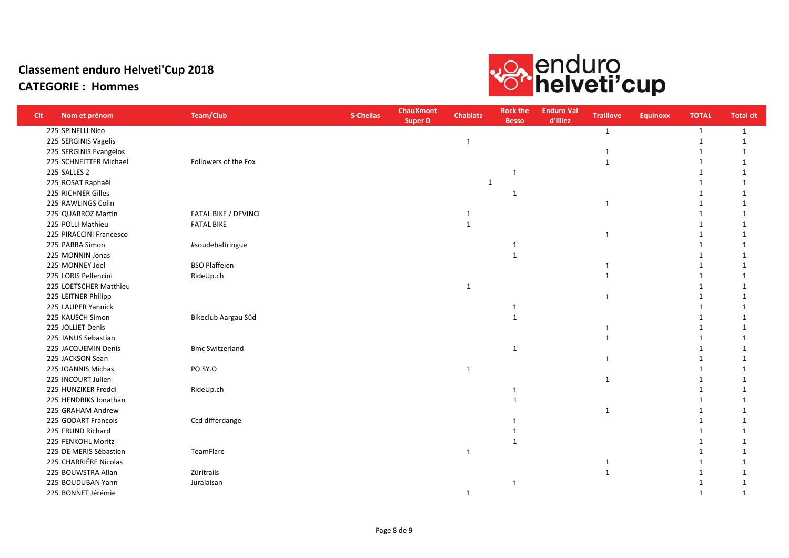# vo, enduro<br>**Co**rhelveti'cup

| <b>Clt</b> | Nom et prénom           | <b>Team/Club</b>       | <b>S-Chellas</b> | <b>ChauXmont</b><br><b>Super D</b> | <b>Chablatz</b> | <b>Rock the</b><br><b>Besso</b> | <b>Enduro Val</b><br>d'Illiez | <b>Traillove</b> | <b>Equinoxx</b> | <b>TOTAL</b> | <b>Total clt</b> |
|------------|-------------------------|------------------------|------------------|------------------------------------|-----------------|---------------------------------|-------------------------------|------------------|-----------------|--------------|------------------|
|            | 225 SPINELLI Nico       |                        |                  |                                    |                 |                                 |                               | 1                |                 | 1            | 1                |
|            | 225 SERGINIS Vagelis    |                        |                  |                                    | $\mathbf{1}$    |                                 |                               |                  |                 |              | 1                |
|            | 225 SERGINIS Evangelos  |                        |                  |                                    |                 |                                 |                               | 1                |                 | $\mathbf 1$  | $\mathbf{1}$     |
|            | 225 SCHNEITTER Michael  | Followers of the Fox   |                  |                                    |                 |                                 |                               | $\mathbf{1}$     |                 |              | 1                |
|            | 225 SALLES 2            |                        |                  |                                    |                 | $\mathbf{1}$                    |                               |                  |                 |              | $\mathbf{1}$     |
|            | 225 ROSAT Raphaël       |                        |                  |                                    | $\mathbf{1}$    |                                 |                               |                  |                 |              | $\mathbf{1}$     |
|            | 225 RICHNER Gilles      |                        |                  |                                    |                 | $\mathbf 1$                     |                               |                  |                 |              | $\mathbf{1}$     |
|            | 225 RAWLINGS Colin      |                        |                  |                                    |                 |                                 |                               | $\mathbf{1}$     |                 |              | 1                |
|            | 225 QUARROZ Martin      | FATAL BIKE / DEVINCI   |                  |                                    | $\mathbf{1}$    |                                 |                               |                  |                 |              | 1                |
|            | 225 POLLI Mathieu       | <b>FATAL BIKE</b>      |                  |                                    | $\mathbf{1}$    |                                 |                               |                  |                 |              | 1                |
|            | 225 PIRACCINI Francesco |                        |                  |                                    |                 |                                 |                               | $\mathbf{1}$     |                 |              | -1               |
|            | 225 PARRA Simon         | #soudebaltringue       |                  |                                    |                 | 1                               |                               |                  |                 |              | $\mathbf{1}$     |
|            | 225 MONNIN Jonas        |                        |                  |                                    |                 | $\mathbf{1}$                    |                               |                  |                 |              | $\mathbf{1}$     |
|            | 225 MONNEY Joel         | <b>BSO Plaffeien</b>   |                  |                                    |                 |                                 |                               | 1                |                 |              | $\mathbf{1}$     |
|            | 225 LORIS Pellencini    | RideUp.ch              |                  |                                    |                 |                                 |                               | $\mathbf{1}$     |                 |              | $\mathbf 1$      |
|            | 225 LOETSCHER Matthieu  |                        |                  |                                    | $\mathbf{1}$    |                                 |                               |                  |                 |              | 1                |
|            | 225 LEITNER Philipp     |                        |                  |                                    |                 |                                 |                               | $\mathbf{1}$     |                 |              | 1                |
|            | 225 LAUPER Yannick      |                        |                  |                                    |                 | 1                               |                               |                  |                 |              | 1                |
|            | 225 KAUSCH Simon        | Bikeclub Aargau Süd    |                  |                                    |                 | $\mathbf{1}$                    |                               |                  |                 |              | 1                |
|            | 225 JOLLIET Denis       |                        |                  |                                    |                 |                                 |                               | 1                |                 |              | 1                |
|            | 225 JANUS Sebastian     |                        |                  |                                    |                 |                                 |                               | $\mathbf{1}$     |                 |              | $\mathbf{1}$     |
|            | 225 JACQUEMIN Denis     | <b>Bmc Switzerland</b> |                  |                                    |                 | $\mathbf{1}$                    |                               |                  |                 |              | 1                |
|            | 225 JACKSON Sean        |                        |                  |                                    |                 |                                 |                               | $\mathbf{1}$     |                 |              | $\mathbf{1}$     |
|            | 225 IOANNIS Michas      | PO.SY.O                |                  |                                    | $\mathbf{1}$    |                                 |                               |                  |                 |              | 1                |
|            | 225 INCOURT Julien      |                        |                  |                                    |                 |                                 |                               | $\mathbf{1}$     |                 |              | 1                |
|            | 225 HUNZIKER Freddi     | RideUp.ch              |                  |                                    |                 | $\mathbf{1}$                    |                               |                  |                 |              | 1                |
|            | 225 HENDRIKS Jonathan   |                        |                  |                                    |                 | 1                               |                               |                  |                 |              | 1                |
|            | 225 GRAHAM Andrew       |                        |                  |                                    |                 |                                 |                               | $\mathbf{1}$     |                 |              | 1                |
|            | 225 GODART Francois     | Ccd differdange        |                  |                                    |                 | 1                               |                               |                  |                 |              | 1                |
|            | 225 FRUND Richard       |                        |                  |                                    |                 | 1                               |                               |                  |                 |              | 1                |
|            | 225 FENKOHL Moritz      |                        |                  |                                    |                 | 1                               |                               |                  |                 |              | 1                |
|            | 225 DE MERIS Sébastien  | TeamFlare              |                  |                                    | $\mathbf{1}$    |                                 |                               |                  |                 |              | 1                |
|            | 225 CHARRIËRE Nicolas   |                        |                  |                                    |                 |                                 |                               |                  |                 |              | 1                |
|            | 225 BOUWSTRA Allan      | Züritrails             |                  |                                    |                 |                                 |                               | $\mathbf{1}$     |                 |              | 1                |
|            | 225 BOUDUBAN Yann       | Juralaisan             |                  |                                    |                 | 1                               |                               |                  |                 |              | 1                |
|            | 225 BONNET Jérémie      |                        |                  |                                    | $\mathbf{1}$    |                                 |                               |                  |                 |              | 1                |